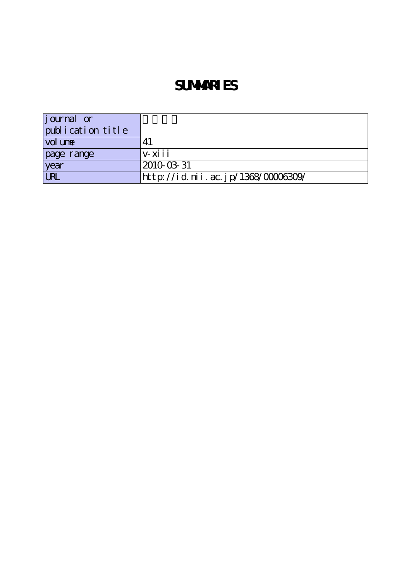# **SUMMARIES**

| <i>j</i> ournal or |                                    |
|--------------------|------------------------------------|
| publication title  |                                    |
| vol une            |                                    |
| page range         | $V - X$ i i                        |
| year               | 2010-03-31                         |
| <b>LRL</b>         | http://id.nii.ac.jp/1368/00006309/ |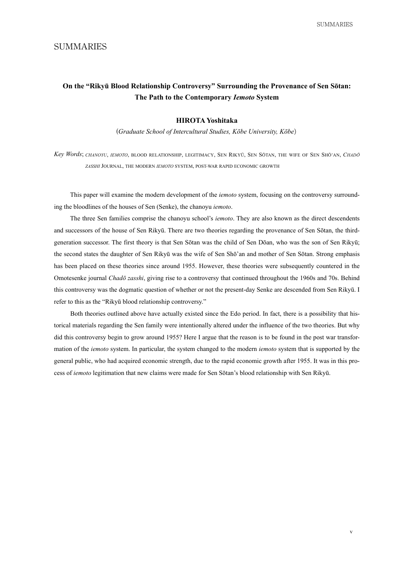SUMMARIES

## SUMMARIES

# **On the "Rikyū Blood Relationship Controversy" Surrounding the Provenance of Sen Sōtan: The Path to the Contemporary Iemoto System**

#### **Yoshitaka HIROTA**

(*Graduate School of Intercultural Studies, Kōbe University, Kōbe*)

*Key Words; CHANOYU, IEMOTO, BLOOD RELATIONSHIP, LEGITIMACY, SEN RIKYŪ, SEN SÕTAN, THE WIFE OF SEN SHŌ'AN, CHADŌ* ZASSHI JOURNAL, THE MODERN IEMOTO SYSTEM, POST-WAR RAPID ECONOMIC GROWTH

This paper will examine the modern development of the *iemoto* system, focusing on the controversy surrounding the bloodlines of the houses of Sen (Senke), the chanoyu *iemoto*.

The three Sen families comprise the chanoyu school's *iemoto*. They are also known as the direct descendents generation successor. The first theory is that Sen Sōtan was the child of Sen Dōan, who was the son of Sen Rikyū; and successors of the house of Sen Rikyū. There are two theories regarding the provenance of Sen Sōtan, the thirdthe second states the daughter of Sen Rikyū was the wife of Sen Shō'an and mother of Sen Sōtan. Strong emphasis has been placed on these theories since around 1955. However, these theories were subsequently countered in the Omotesenke journal *Chadō zasshi*, giving rise to a controversy that continued throughout the 1960s and 70s. Behind this controversy was the dogmatic question of whether or not the present-day Senke are descended from Sen Rikyū. I refer to this as the "Rikyū blood relationship controversy."

torical materials regarding the Sen family were intentionally altered under the influence of the two theories. But why Both theories outlined above have actually existed since the Edo period. In fact, there is a possibility that hismation of the *iemoto* system. In particular, the system changed to the modern *iemoto* system that is supported by the did this controversy begin to grow around 1955? Here I argue that the reason is to be found in the post war transforcess of iemoto legitimation that new claims were made for Sen Sōtan's blood relationship with Sen Rikyū. general public, who had acquired economic strength, due to the rapid economic growth after 1955. It was in this pro-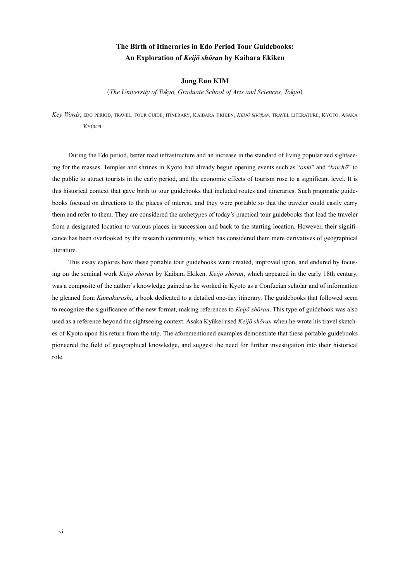# **The Birth of Itineraries in Edo Period Tour Guidebooks:** An Exploration of *Keijō shōran* by Kaibara Ekiken

#### **Jung** Eun KIM

(*The University of Tokyo, Graduate School of Arts and Sciences, Tokyo*)

Key Words; edo period, travel, tour guide, itinerary, Kaibara Ekiken, Keliö shōran, travel literature, Kyoto, Asaka **KYŪKEI** 

ing for the masses. Temples and shrines in Kyoto had already begun opening events such as "onki" and "kaichō" to During the Edo period, better road infrastructure and an increase in the standard of living popularized sightseethe public to attract tourists in the early period, and the economic effects of tourism rose to a significant level. It is books focused on directions to the places of interest, and they were portable so that the traveler could easily carry this historical context that gave birth to tour guidebooks that included routes and itineraries. Such pragmatic guidethem and refer to them. They are considered the archetypes of today's practical tour guidebooks that lead the traveler cance has been overlooked by the research community, which has considered them mere derivatives of geographical from a designated location to various places in succession and back to the starting location. However, their signifiliterature.

ing on the seminal work Keijō shōran by Kaibara Ekiken. Keijō shōran, which appeared in the early 18th century, This essay explores how these portable tour guidebooks were created, improved upon, and endured by focuswas a composite of the author's knowledge gained as he worked in Kyoto as a Confucian scholar and of information he gleaned from *Kamakurashi*, a book dedicated to a detailed one-day itinerary. The guidebooks that followed seem to recognize the significance of the new format, making references to Keijō shōran. This type of guidebook was also es of Kyoto upon his return from the trip. The aforementioned examples demonstrate that these portable guidebooks used as a reference beyond the sightseeing context. Asaka Kyūkei used *Keijō shōran* when he wrote his travel sketchpioneered the field of geographical knowledge, and suggest the need for further investigation into their historical role.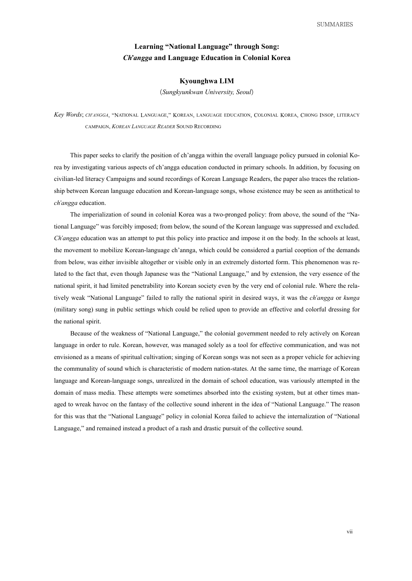## **Learning "National Language" through Song:** *<i>Ch'angga* and Language Education in Colonial Korea

#### **LIM Kyounghwa**

(*Seoul ,University Sungkyunkwan*(

Key Words; CH'ANGGA, "NATIONAL LANGUAGE," KOREAN, LANGUAGE EDUCATION, COLONIAL KOREA, CHONG INSOP, LITERACY CAMPAIGN *KOREAN LANGUAGE READER* SOUND RECORDING

rea by investigating various aspects of ch'angga education conducted in primary schools. In addition, by focusing on This paper seeks to clarify the position of ch'angga within the overall language policy pursued in colonial Koship between Korean language education and Korean-language songs, whose existence may be seen as antithetical to civilian-led literacy Campaigns and sound recordings of Korean Language Readers, the paper also traces the relation $ch'angga$  education.

tional Language" was forcibly imposed; from below, the sound of the Korean language was suppressed and excluded. The imperialization of sound in colonial Korea was a two-pronged policy: from above, the sound of the "Na-Ch'angga education was an attempt to put this policy into practice and impose it on the body. In the schools at least, the movement to mobilize Korean-language ch'annga, which could be considered a partial cooption of the demands lated to the fact that, even though Japanese was the "National Language," and by extension, the very essence of the from below, was either invisible altogether or visible only in an extremely distorted form. This phenomenon was re*kunga* it *kunga* it is anguage<sup>\*</sup> failed to rally the national spirit in desired ways, it was the *ch'angga* or *kunga* national spirit, it had limited penetrability into Korean society even by the very end of colonial rule. Where the rela-(military song) sung in public settings which could be relied upon to provide an effective and colorful dressing for the national spirit.

Because of the weakness of "National Language," the colonial government needed to rely actively on Korean language in order to rule. Korean, however, was managed solely as a tool for effective communication, and was not envisioned as a means of spiritual cultivation; singing of Korean songs was not seen as a proper vehicle for achieving the communality of sound which is characteristic of modern nation-states. At the same time, the marriage of Korean language and Korean-language songs, unrealized in the domain of school education, was variously attempted in the aged to wreak havoc on the fantasy of the collective sound inherent in the idea of "National Language." The reason domain of mass media. These attempts were sometimes absorbed into the existing system, but at other times manfor this was that the "National Language" policy in colonial Korea failed to achieve the internalization of "National Language," and remained instead a product of a rash and drastic pursuit of the collective sound.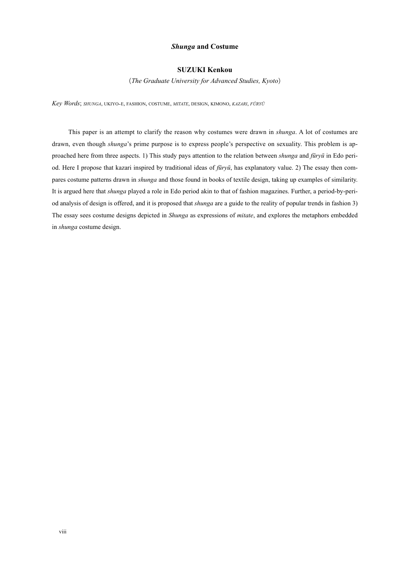#### **Costume and** *Shunga*

#### **SUZUKI Kenkou**

(*The Graduate University for Advanced Studies, Kyoto*)

*Key Words*; *SHUNGA*, UKIYO-E, FASHION, COSTUME, *MITATE*, DESIGN, KIMONO, *KAZARI*, *FURYU* 

This paper is an attempt to clarify the reason why costumes were drawn in *shunga*. A lot of costumes are pares costume patterns drawn in *shunga* and those found in books of textile design, taking up examples of similarity. od. Here I propose that kazari inspired by traditional ideas of *fūryū*, has explanatory value. 2) The essay then comproached here from three aspects. 1) This study pays attention to the relation between *shunga* and *fūryū* in Edo peridrawn, even though *shunga*'s prime purpose is to express people's perspective on sexuality. This problem is apod analysis of design is offered, and it is proposed that *shunga* are a guide to the reality of popular trends in fashion 3) It is argued here that *shunga* played a role in Edo period akin to that of fashion magazines. Further, a period-by-peri-The essay sees costume designs depicted in *Shunga* as expressions of *mitate*, and explores the metaphors embedded in *shunga* costume design.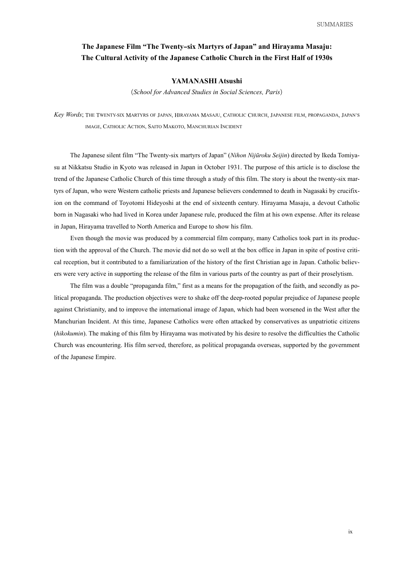## The Japanese Film "The Twenty-six Martyrs of Japan" and Hirayama Masaju: The Cultural Activity of the Japanese Catholic Church in the First Half of 1930s

#### YAMANASHI Atsushi

(*School for Advanced Studies in Social Sciences, Paris*)

Key Words; The Twenty-six Martyrs of Japan, Hirayama Masaju, Catholic Church, Japanese film, propaganda, Japan's IMAGE, CATHOLIC ACTION, SAITO MAKOTO, MANCHURIAN INCIDENT

su at Nikkatsu Studio in Kyoto was released in Japan in October 1931. The purpose of this article is to disclose the The Japanese silent film "The Twenty-six martyrs of Japan" (Nihon Nijūroku Seijin) directed by Ikeda Tomiyaion on the command of Toyotomi Hideyoshi at the end of sixteenth century. Hirayama Masaju, a devout Catholic tyrs of Japan, who were Western catholic priests and Japanese believers condemned to death in Nagasaki by crucifixtrend of the Japanese Catholic Church of this time through a study of this film. The story is about the twenty-six marborn in Nagasaki who had lived in Korea under Japanese rule, produced the film at his own expense. After its release in Japan, Hirayama travelled to North America and Europe to show his film.

ers were very active in supporting the release of the film in various parts of the country as part of their proselytism. cal reception, but it contributed to a familiarization of the history of the first Christian age in Japan. Catholic believtion with the approval of the Church. The movie did not do so well at the box office in Japan in spite of postive criti-Even though the movie was produced by a commercial film company, many Catholics took part in its produc-

litical propaganda. The production objectives were to shake off the deep-rooted popular prejudice of Japanese people The film was a double "propaganda film," first as a means for the propagation of the faith, and secondly as poagainst Christianity, and to improve the international image of Japan, which had been worsened in the West after the Manchurian Incident. At this time, Japanese Catholics were often attacked by conservatives as unpatriotic citizens (hikokumin). The making of this film by Hirayama was motivated by his desire to resolve the difficulties the Catholic Church was encountering. His film served, therefore, as political propaganda overseas, supported by the government of the Japanese Empire.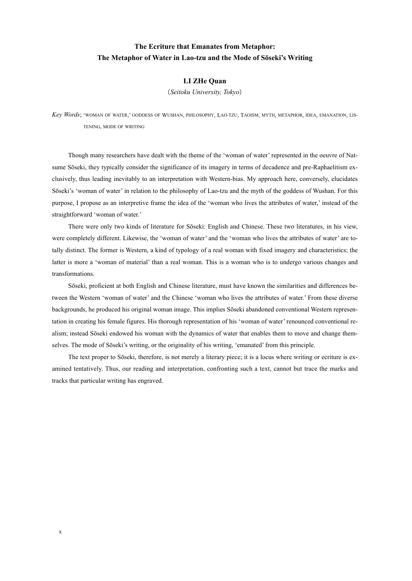# **The Ecriture that Emanates from Metaphor:** The Metaphor of Water in Lao-tzu and the Mode of Soseki's Writing

#### **LI ZHe Ouan**

(*Tokyo ,University Seitoku*(

Key Words; 'woman of water,' goddess of Wushan, philosophy, Lao-tzu, Taoism, myth, metaphor, idea, emanation, lis<br>Tening, mode of writing

clusively, thus leading inevitably to an interpretation with Western-bias. My approach here, conversely, elucidates sume Sōseki, they typically consider the significance of its imagery in terms of decadence and pre-Raphaelitism ex-Though many researchers have dealt with the theme of the 'woman of water' represented in the oeuvre of Nat-Sōseki's 'woman of water' in relation to the philosophy of Lao-tzu and the myth of the goddess of Wushan. For this purpose, I propose as an interpretive frame the idea of the 'woman who lives the attributes of water,' instead of the straightforward 'woman of water.'

There were only two kinds of literature for Sōseki: English and Chinese. These two literatures, in his view, tally distinct. The former is Western, a kind of typology of a real woman with fixed imagery and characteristics; the were completely different. Likewise, the 'woman of water' and the 'woman who lives the attributes of water' are tolatter is more a 'woman of material' than a real woman. This is a woman who is to undergo various changes and transformations.

tween the Western 'woman of water' and the Chinese 'woman who lives the attributes of water.' From these diverse Sōseki, proficient at both English and Chinese literature, must have known the similarities and differences beselves. The mode of Sōseki's writing, or the originality of his writing, 'emanated' from this principle. alism; instead Sōseki endowed his woman with the dynamics of water that enables them to move and change themtation in creating his female figures. His thorough representation of his 'woman of water' renounced conventional rebackgrounds, he produced his original woman image. This implies Sōseki abandoned conventional Western represen-

amined tentatively. Thus, our reading and interpretation, confronting such a text, cannot but trace the marks and The text proper to Sōseki, therefore, is not merely a literary piece; it is a locus where writing or ecriture is extracks that particular writing has engraved.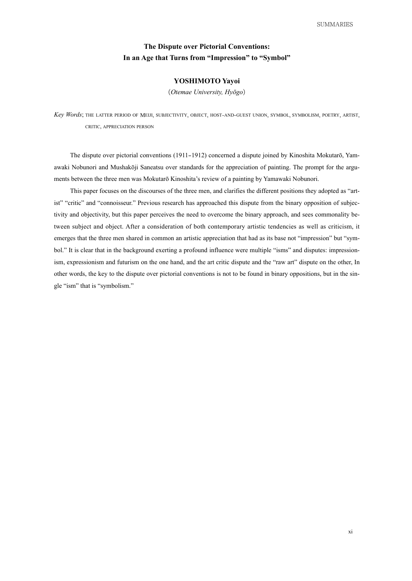## **The Dispute over Pictorial Conventions:** In an Age that Turns from "Impression" to "Symbol"

### YOSHIMOTO Yayoi

(Otemae University, Hyōgo)

Key Words; THE LATTER PERIOD OF MEIJI, SUBJECTIVITY, OBJECT, HOST-AND-GUEST UNION, SYMBOL, SYMBOLISM, POETRY, ARTIST, CRITIC. APPRECIATION PERSON

ments between the three men was Mokutarō Kinoshita's review of a painting by Yamawaki Nobunori. awaki Nobunori and Mushakōji Saneatsu over standards for the appreciation of painting. The prompt for the argu-The dispute over pictorial conventions (1911–1912) concerned a dispute ioined by Kinoshita Mokutarō. Yam-

tween subject and object. After a consideration of both contemporary artistic tendencies as well as criticism, it tivity and objectivity, but this paper perceives the need to overcome the binary approach, and sees commonality beist" "critic" and "connoisseur." Previous research has approached this dispute from the binary opposition of subjec-This paper focuses on the discourses of the three men, and clarifies the different positions they adopted as "artism, expressionism and futurism on the one hand, and the art critic dispute and the "raw art" dispute on the other. In bol." It is clear that in the background exerting a profound influence were multiple "isms" and disputes: impressionemerges that the three men shared in common an artistic appreciation that had as its base not "impression" but "symother words, the key to the dispute over pictorial conventions is not to be found in binary oppositions, but in the sin-<br>gle "ism" that is "symbolism."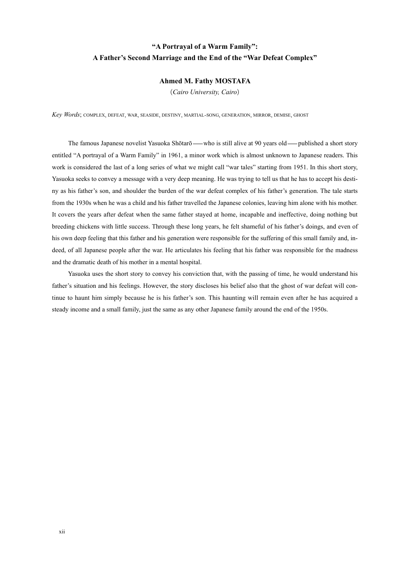# "A Portrayal of a Warm Family": A Father's Second Marriage and the End of the "War Defeat Complex"

#### **Ahmed M. Fathy MOSTAFA**

(Cairo University, Cairo)

Key Words; complex, defeat, war, seaside, destiny, martial-song, generation, mirror, demise, ghost

The famous Japanese novelist Yasuoka Shōtarō — who is still alive at 90 years old — published a short story entitled "A portraval of a Warm Family" in 1961, a minor work which is almost unknown to Japanese readers. This work is considered the last of a long series of what we might call "war tales" starting from 1951. In this short story, ny as his father's son, and shoulder the burden of the war defeat complex of his father's generation. The tale starts Yasuoka seeks to convey a message with a very deep meaning. He was trying to tell us that he has to accept his destifrom the 1930s when he was a child and his father travelled the Japanese colonies, leaving him alone with his mother. It covers the years after defeat when the same father stayed at home, incapable and ineffective, doing nothing but breeding chickens with little success. Through these long years, he felt shameful of his father's doings, and even of deed, of all Japanese people after the war. He articulates his feeling that his father was responsible for the madness his own deep feeling that this father and his generation were responsible for the suffering of this small family and, inand the dramatic death of his mother in a mental hospital.

Yasuoka uses the short story to convey his conviction that, with the passing of time, he would understand his tinue to haunt him simply because he is his father's son. This haunting will remain even after he has acquired a father's situation and his feelings. However, the story discloses his belief also that the ghost of war defeat will consteady income and a small family, just the same as any other Japanese family around the end of the 1950s.